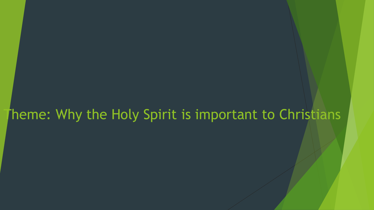#### Theme: Why the Holy Spirit is important to Christians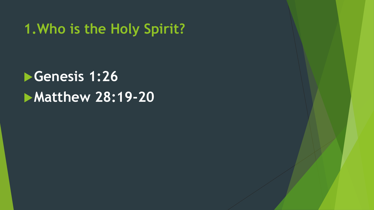### **1.Who is the Holy Spirit?**

# **Genesis 1:26 Matthew 28:19-20**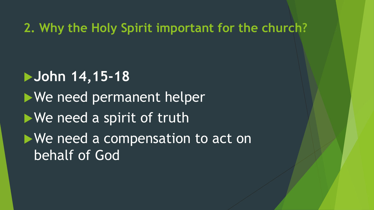**2. Why the Holy Spirit important for the church?**

**John 14,15-18** We need permanent helper We need a spirit of truth We need a compensation to act on behalf of God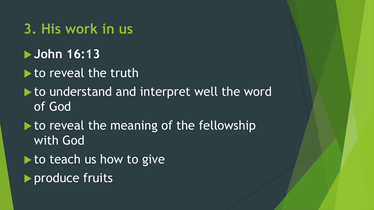#### **3. His work in us**

- **John 16:13**
- to reveal the truth
- $\blacktriangleright$  to understand and interpret well the word of God
- I to reveal the meaning of the fellowship with God
- $\blacktriangleright$  to teach us how to give
- **P** produce fruits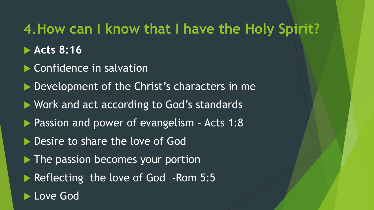## **4.How can I know that I have the Holy Spirit?**

- **Acts 8:16**
- ▶ Confidence in salvation
- Development of the Christ's characters in me
- ▶ Work and act according to God's standards
- **Passion and power of evangelism Acts 1:8**
- Desire to share the love of God
- $\blacktriangleright$  The passion becomes your portion
- Reflecting the love of God Rom 5:5
- Love God